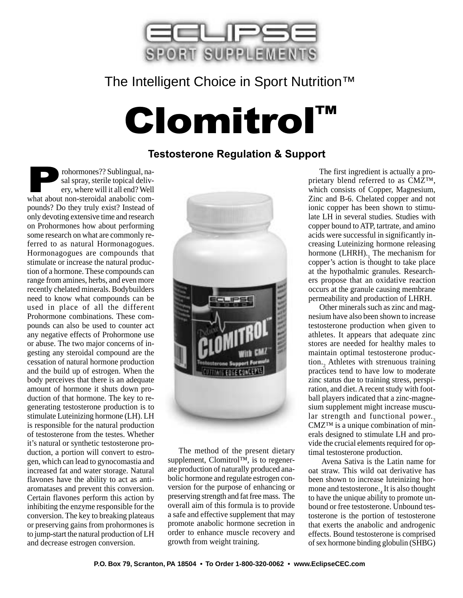

## The Intelligent Choice in Sport Nutrition™

# Clomitrol™

#### **Testosterone Regulation & Support**

From Prohormones?? Sublingual, na-<br>sal spray, sterile topical deliv-<br>ery, where will it all end? Well<br>what about non-steroidal anabolic comsal spray, sterile topical delivery, where will it all end? Well pounds? Do they truly exist? Instead of only devoting extensive time and research on Prohormones how about performing some research on what are commonly referred to as natural Hormonagogues. Hormonagogues are compounds that stimulate or increase the natural production of a hormone. These compounds can range from amines, herbs, and even more recently chelated minerals. Bodybuilders need to know what compounds can be used in place of all the different Prohormone combinations. These compounds can also be used to counter act any negative effects of Prohormone use or abuse. The two major concerns of ingesting any steroidal compound are the cessation of natural hormone production and the build up of estrogen. When the body perceives that there is an adequate amount of hormone it shuts down production of that hormone. The key to regenerating testosterone production is to stimulate Luteinizing hormone (LH). LH is responsible for the natural production of testosterone from the testes. Whether it's natural or synthetic testosterone production, a portion will convert to estrogen, which can lead to gynocomastia and increased fat and water storage. Natural flavones have the ability to act as antiaromatases and prevent this conversion. Certain flavones perform this action by inhibiting the enzyme responsible for the conversion. The key to breaking plateaus or preserving gains from prohormones is to jump-start the natural production of LH and decrease estrogen conversion.



The method of the present dietary supplement, Clomitrol™, is to regenerate production of naturally produced anabolic hormone and regulate estrogen conversion for the purpose of enhancing or preserving strength and fat free mass. The overall aim of this formula is to provide a safe and effective supplement that may promote anabolic hormone secretion in order to enhance muscle recovery and growth from weight training.

The first ingredient is actually a proprietary blend referred to as CMZ™, which consists of Copper, Magnesium, Zinc and B-6. Chelated copper and not ionic copper has been shown to stimulate LH in several studies. Studies with copper bound to ATP, tartrate, and amino acids were successful in significantly increasing Luteinizing hormone releasing hormone (LHRH). $_1$  The mechanism for copper's action is thought to take place at the hypothalmic granules. Researchers propose that an oxidative reaction occurs at the granule causing membrane permeability and production of LHRH.

Other minerals such as zinc and magnesium have also been shown to increase testosterone production when given to athletes. It appears that adequate zinc stores are needed for healthy males to maintain optimal testosterone production.<sub>2</sub> Athletes with strenuous training practices tend to have low to moderate zinc status due to training stress, perspiration, and diet. A recent study with football players indicated that a zinc-magnesium supplement might increase muscular strength and functional power. CMZ™ is a unique combination of minerals designed to stimulate LH and provide the crucial elements required for optimal testosterone production.

 Avena Sativa is the Latin name for oat straw. This wild oat derivative has been shown to increase luteinizing hormone and testosterone.<sub>4</sub> It is also thought to have the unique ability to promote unbound or free testosterone. Unbound testosterone is the portion of testosterone that exerts the anabolic and androgenic effects. Bound testosterone is comprised of sex hormone binding globulin (SHBG)